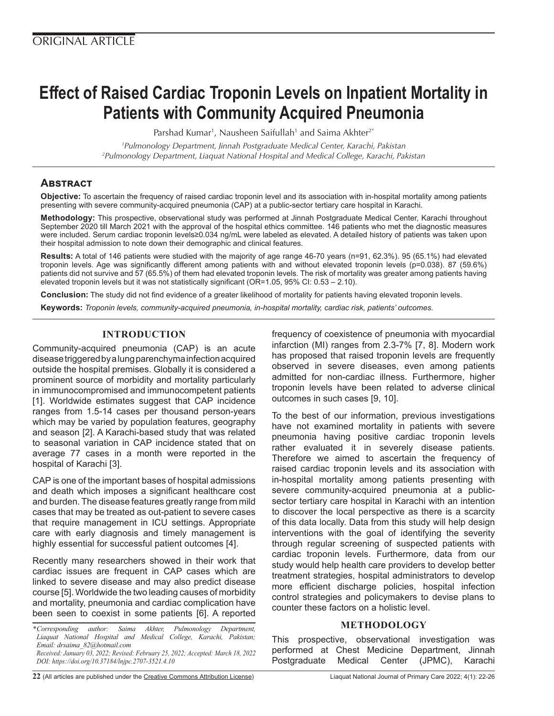# **Effect of Raised Cardiac Troponin Levels on Inpatient Mortality in Patients with Community Acquired Pneumonia**

Parshad Kumar<sup>1</sup>, Nausheen Saifullah<sup>1</sup> and Saima Akhter<sup>2\*</sup>

*1 Pulmonology Department, Jinnah Postgraduate Medical Center, Karachi, Pakistan 2 Pulmonology Department, Liaquat National Hospital and Medical College, Karachi, Pakistan*

# **Abstract**

**Objective:** To ascertain the frequency of raised cardiac troponin level and its association with in-hospital mortality among patients presenting with severe community-acquired pneumonia (CAP) at a public-sector tertiary care hospital in Karachi.

**Methodology:** This prospective, observational study was performed at Jinnah Postgraduate Medical Center, Karachi throughout September 2020 till March 2021 with the approval of the hospital ethics committee. 146 patients who met the diagnostic measures were included. Serum cardiac troponin levels≥0.034 ng/mL were labeled as elevated. A detailed history of patients was taken upon their hospital admission to note down their demographic and clinical features.

**Results:** A total of 146 patients were studied with the majority of age range 46-70 years (n=91, 62.3%). 95 (65.1%) had elevated troponin levels. Age was significantly different among patients with and without elevated troponin levels (p=0.038). 87 (59.6%) patients did not survive and 57 (65.5%) of them had elevated troponin levels. The risk of mortality was greater among patients having elevated troponin levels but it was not statistically significant (OR=1.05, 95% CI: 0.53 – 2.10).

**Conclusion:** The study did not find evidence of a greater likelihood of mortality for patients having elevated troponin levels.

**Keywords:** *Troponin levels, community-acquired pneumonia, in-hospital mortality, cardiac risk, patients' outcomes.*

## **INTRODUCTION**

Community-acquired pneumonia (CAP) is an acute disease triggered by a lung parenchyma infection acquired outside the hospital premises. Globally it is considered a prominent source of morbidity and mortality particularly in immunocompromised and immunocompetent patients [1]. Worldwide estimates suggest that CAP incidence ranges from 1.5-14 cases per thousand person-years which may be varied by population features, geography and season [2]. A Karachi-based study that was related to seasonal variation in CAP incidence stated that on average 77 cases in a month were reported in the hospital of Karachi [3].

CAP is one of the important bases of hospital admissions and death which imposes a significant healthcare cost and burden. The disease features greatly range from mild cases that may be treated as out-patient to severe cases that require management in ICU settings. Appropriate care with early diagnosis and timely management is highly essential for successful patient outcomes [4].

Recently many researchers showed in their work that cardiac issues are frequent in CAP cases which are linked to severe disease and may also predict disease course [5]. Worldwide the two leading causes of morbidity and mortality, pneumonia and cardiac complication have been seen to coexist in some patients [6]. A reported

frequency of coexistence of pneumonia with myocardial infarction (MI) ranges from 2.3-7% [7, 8]. Modern work has proposed that raised troponin levels are frequently observed in severe diseases, even among patients admitted for non-cardiac illness. Furthermore, higher troponin levels have been related to adverse clinical outcomes in such cases [9, 10].

To the best of our information, previous investigations have not examined mortality in patients with severe pneumonia having positive cardiac troponin levels rather evaluated it in severely disease patients. Therefore we aimed to ascertain the frequency of raised cardiac troponin levels and its association with in-hospital mortality among patients presenting with severe community-acquired pneumonia at a publicsector tertiary care hospital in Karachi with an intention to discover the local perspective as there is a scarcity of this data locally. Data from this study will help design interventions with the goal of identifying the severity through regular screening of suspected patients with cardiac troponin levels. Furthermore, data from our study would help health care providers to develop better treatment strategies, hospital administrators to develop more efficient discharge policies, hospital infection control strategies and policymakers to devise plans to counter these factors on a holistic level.

## **METHODOLOGY**

This prospective, observational investigation was performed at Chest Medicine Department, Jinnah Postgraduate Medical Center (JPMC), Karachi

*<sup>\*</sup>Corresponding author: Saima Akhter, Pulmonology Department, Liaquat National Hospital and Medical College, Karachi, Pakistan; Email: drsaima\_82@hotmail.com Received: January 03, 2022; Revised: February 25, 2022; Accepted: March 18, 2022 DOI: https://doi.org/10.37184/lnjpc.2707-3521.4.10*

**<sup>22</sup>** (All articles are published under the [Creative Commons Attribution License](https://creativecommons.org/licenses/by/4.0/)) Liaquat National Journal of Primary Care 2022; 4(1): 22-26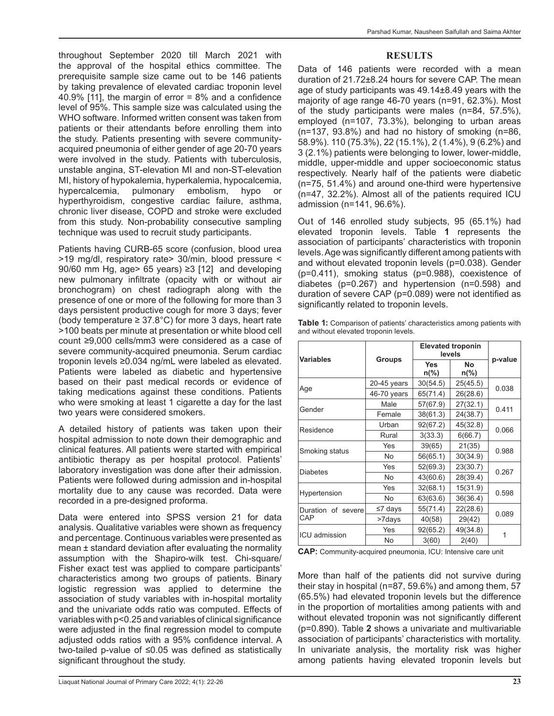throughout September 2020 till March 2021 with the approval of the hospital ethics committee. The prerequisite sample size came out to be 146 patients by taking prevalence of elevated cardiac troponin level 40.9% [11], the margin of error  $= 8\%$  and a confidence level of 95%. This sample size was calculated using the WHO software. Informed written consent was taken from patients or their attendants before enrolling them into the study. Patients presenting with severe communityacquired pneumonia of either gender of age 20-70 years were involved in the study. Patients with tuberculosis, unstable angina, ST-elevation MI and non-ST-elevation MI, history of hypokalemia, hyperkalemia, hypocalcemia, hypercalcemia, pulmonary embolism, hypo or hyperthyroidism, congestive cardiac failure, asthma, chronic liver disease, COPD and stroke were excluded from this study. Non-probability consecutive sampling technique was used to recruit study participants.

Patients having CURB-65 score (confusion, blood urea >19 mg/dl, respiratory rate> 30/min, blood pressure < 90/60 mm Hg, age> 65 years) ≥3 [12] and developing new pulmonary infiltrate (opacity with or without air bronchogram) on chest radiograph along with the presence of one or more of the following for more than 3 days persistent productive cough for more 3 days; fever (body temperature  $\geq$  37.8°C) for more 3 days, heart rate >100 beats per minute at presentation or white blood cell count ≥9,000 cells/mm3 were considered as a case of severe community-acquired pneumonia. Serum cardiac troponin levels ≥0.034 ng/mL were labeled as elevated. Patients were labeled as diabetic and hypertensive based on their past medical records or evidence of taking medications against these conditions. Patients who were smoking at least 1 cigarette a day for the last two years were considered smokers.

A detailed history of patients was taken upon their hospital admission to note down their demographic and clinical features. All patients were started with empirical antibiotic therapy as per hospital protocol. Patients' laboratory investigation was done after their admission. Patients were followed during admission and in-hospital mortality due to any cause was recorded. Data were recorded in a pre-designed proforma.

Data were entered into SPSS version 21 for data analysis. Qualitative variables were shown as frequency and percentage. Continuous variables were presented as mean ± standard deviation after evaluating the normality assumption with the Shapiro-wilk test. Chi-square/ Fisher exact test was applied to compare participants' characteristics among two groups of patients. Binary logistic regression was applied to determine the association of study variables with in-hospital mortality and the univariate odds ratio was computed. Effects of variables with p<0.25 and variables of clinical significance were adjusted in the final regression model to compute adjusted odds ratios with a 95% confidence interval. A two-tailed p-value of ≤0.05 was defined as statistically significant throughout the study.

#### **RESULTS**

Data of 146 patients were recorded with a mean duration of 21.72±8.24 hours for severe CAP. The mean age of study participants was 49.14±8.49 years with the majority of age range 46-70 years (n=91, 62.3%). Most of the study participants were males (n=84, 57.5%), employed (n=107, 73.3%), belonging to urban areas (n=137, 93.8%) and had no history of smoking (n=86, 58.9%). 110 (75.3%), 22 (15.1%), 2 (1.4%), 9 (6.2%) and 3 (2.1%) patients were belonging to lower, lower-middle, middle, upper-middle and upper socioeconomic status respectively. Nearly half of the patients were diabetic (n=75, 51.4%) and around one-third were hypertensive (n=47, 32.2%). Almost all of the patients required ICU admission (n=141, 96.6%).

Out of 146 enrolled study subjects, 95 (65.1%) had elevated troponin levels. Table **1** represents the association of participants' characteristics with troponin levels. Age was significantly different among patients with and without elevated troponin levels (p=0.038). Gender (p=0.411), smoking status (p=0.988), coexistence of diabetes (p=0.267) and hypertension (n=0.598) and duration of severe CAP (p=0.089) were not identified as significantly related to troponin levels.

| Table 1: Comparison of patients' characteristics among patients with |  |
|----------------------------------------------------------------------|--|
| and without elevated troponin levels.                                |  |

| <b>Variables</b>          |               | <b>Elevated troponin</b><br>levels |                   |         |  |
|---------------------------|---------------|------------------------------------|-------------------|---------|--|
|                           | <b>Groups</b> | <b>Yes</b><br>$n\frac{6}{6}$       | <b>No</b><br>n(%) | p-value |  |
| Age                       | 20-45 years   | 30(54.5)                           | 25(45.5)          | 0.038   |  |
|                           | 46-70 years   | 65(71.4)                           | 26(28.6)          |         |  |
| Gender                    | Male          | 57(67.9)                           | 27(32.1)          | 0.411   |  |
|                           | Female        | 38(61.3)                           | 24(38.7)          |         |  |
| Residence                 | Urban         | 92(67.2)                           | 45(32.8)          |         |  |
|                           | Rural         | 3(33.3)                            | 6(66.7)           | 0.066   |  |
| Smoking status            | <b>Yes</b>    | 39(65)                             | 21(35)            | 0.988   |  |
|                           | <b>No</b>     | 56(65.1)                           | 30(34.9)          |         |  |
| <b>Diabetes</b>           | Yes           | 52(69.3)                           | 23(30.7)          | 0.267   |  |
|                           | <b>No</b>     | 43(60.6)                           | 28(39.4)          |         |  |
| Hypertension              | <b>Yes</b>    | 32(68.1)                           | 15(31.9)          | 0.598   |  |
|                           | No            | 63(63.6)                           | 36(36.4)          |         |  |
| Duration of severe<br>CAP | $\leq 7$ days | 55(71.4)                           | 22(28.6)          | 0.089   |  |
|                           | >7days        | 40(58)                             | 29(42)            |         |  |
| <b>ICU</b> admission      | Yes           | 92(65.2)                           | 49(34.8)          |         |  |
|                           | <b>No</b>     | 3(60)                              | 2(40)             |         |  |

**CAP:** Community-acquired pneumonia, ICU: Intensive care unit

More than half of the patients did not survive during their stay in hospital (n=87, 59.6%) and among them, 57 (65.5%) had elevated troponin levels but the difference in the proportion of mortalities among patients with and without elevated troponin was not significantly different (p=0.890). Table **2** shows a univariate and multivariable association of participants' characteristics with mortality. In univariate analysis, the mortality risk was higher among patients having elevated troponin levels but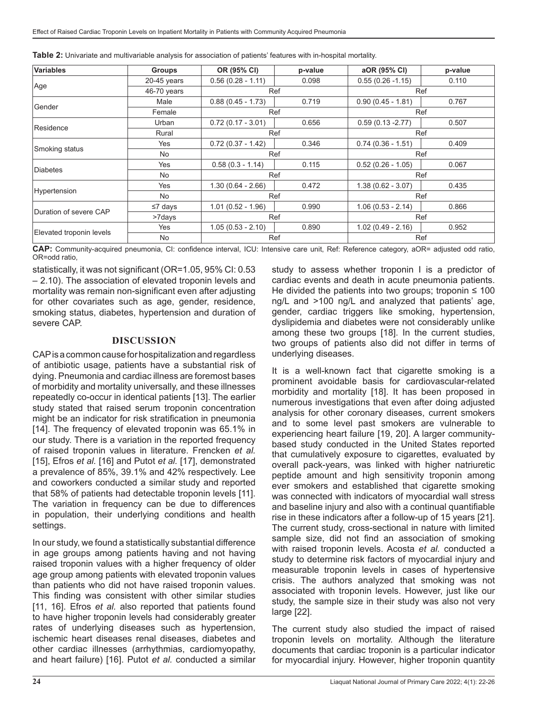| <b>Variables</b>         | <b>Groups</b> | OR (95% CI)         | p-value | aOR (95% CI)        | p-value |
|--------------------------|---------------|---------------------|---------|---------------------|---------|
| Age                      | $20-45$ years | $0.56(0.28 - 1.11)$ | 0.098   | $0.55(0.26 - 1.15)$ | 0.110   |
|                          | 46-70 years   | Ref                 |         | Ref                 |         |
| Gender                   | Male          | $0.88(0.45 - 1.73)$ | 0.719   | $0.90(0.45 - 1.81)$ | 0.767   |
|                          | Female        | Ref                 |         | Ref                 |         |
| Residence                | Urban         | $0.72(0.17 - 3.01)$ | 0.656   | $0.59(0.13 - 2.77)$ | 0.507   |
|                          | Rural         | Ref                 |         | Ref                 |         |
| Smoking status           | Yes           | $0.72(0.37 - 1.42)$ | 0.346   | $0.74(0.36 - 1.51)$ | 0.409   |
|                          | No            | Ref                 |         | Ref                 |         |
| <b>Diabetes</b>          | <b>Yes</b>    | $0.58(0.3 - 1.14)$  | 0.115   | $0.52(0.26 - 1.05)$ | 0.067   |
|                          | No            | Ref                 |         | Ref                 |         |
| Hypertension             | <b>Yes</b>    | $1.30(0.64 - 2.66)$ | 0.472   | $1.38(0.62 - 3.07)$ | 0.435   |
|                          | No            | Ref                 |         | Ref                 |         |
| Duration of severe CAP   | $\leq 7$ days | $1.01(0.52 - 1.96)$ | 0.990   | $1.06(0.53 - 2.14)$ | 0.866   |
|                          | >7days        | Ref                 |         | Ref                 |         |
| Elevated troponin levels | Yes           | $1.05(0.53 - 2.10)$ | 0.890   | $1.02(0.49 - 2.16)$ | 0.952   |
|                          | No            | Ref                 |         | Ref                 |         |

**CAP:** Community-acquired pneumonia, CI: confidence interval, ICU: Intensive care unit, Ref: Reference category, aOR= adjusted odd ratio, OR=odd ratio,

statistically, it was not significant (OR=1.05, 95% CI: 0.53 – 2.10). The association of elevated troponin levels and mortality was remain non-significant even after adjusting for other covariates such as age, gender, residence, smoking status, diabetes, hypertension and duration of severe CAP.

#### **DISCUSSION**

CAP is a common cause for hospitalization and regardless of antibiotic usage, patients have a substantial risk of dying. Pneumonia and cardiac illness are foremost bases of morbidity and mortality universally, and these illnesses repeatedly co-occur in identical patients [13]. The earlier study stated that raised serum troponin concentration might be an indicator for risk stratification in pneumonia [14]. The frequency of elevated troponin was 65.1% in our study. There is a variation in the reported frequency of raised troponin values in literature. Frencken *et al.* [15], Efros *et al.* [16] and Putot *et al.* [17], demonstrated a prevalence of 85%, 39.1% and 42% respectively. Lee and coworkers conducted a similar study and reported that 58% of patients had detectable troponin levels [11]. The variation in frequency can be due to differences in population, their underlying conditions and health settings.

In our study, we found a statistically substantial difference in age groups among patients having and not having raised troponin values with a higher frequency of older age group among patients with elevated troponin values than patients who did not have raised troponin values. This finding was consistent with other similar studies [11, 16]. Efros *et al.* also reported that patients found to have higher troponin levels had considerably greater rates of underlying diseases such as hypertension, ischemic heart diseases renal diseases, diabetes and other cardiac illnesses (arrhythmias, cardiomyopathy, and heart failure) [16]. Putot *et al.* conducted a similar

study to assess whether troponin I is a predictor of cardiac events and death in acute pneumonia patients. He divided the patients into two groups; troponin  $\leq 100$ ng/L and >100 ng/L and analyzed that patients' age, gender, cardiac triggers like smoking, hypertension, dyslipidemia and diabetes were not considerably unlike among these two groups [18]. In the current studies, two groups of patients also did not differ in terms of underlying diseases.

It is a well-known fact that cigarette smoking is a prominent avoidable basis for cardiovascular-related morbidity and mortality [18]. It has been proposed in numerous investigations that even after doing adjusted analysis for other coronary diseases, current smokers and to some level past smokers are vulnerable to experiencing heart failure [19, 20]. A larger communitybased study conducted in the United States reported that cumulatively exposure to cigarettes, evaluated by overall pack-years, was linked with higher natriuretic peptide amount and high sensitivity troponin among ever smokers and established that cigarette smoking was connected with indicators of myocardial wall stress and baseline injury and also with a continual quantifiable rise in these indicators after a follow-up of 15 years [21]. The current study, cross-sectional in nature with limited sample size, did not find an association of smoking with raised troponin levels. Acosta *et al.* conducted a study to determine risk factors of myocardial injury and measurable troponin levels in cases of hypertensive crisis. The authors analyzed that smoking was not associated with troponin levels. However, just like our study, the sample size in their study was also not very large [22].

The current study also studied the impact of raised troponin levels on mortality. Although the literature documents that cardiac troponin is a particular indicator for myocardial injury. However, higher troponin quantity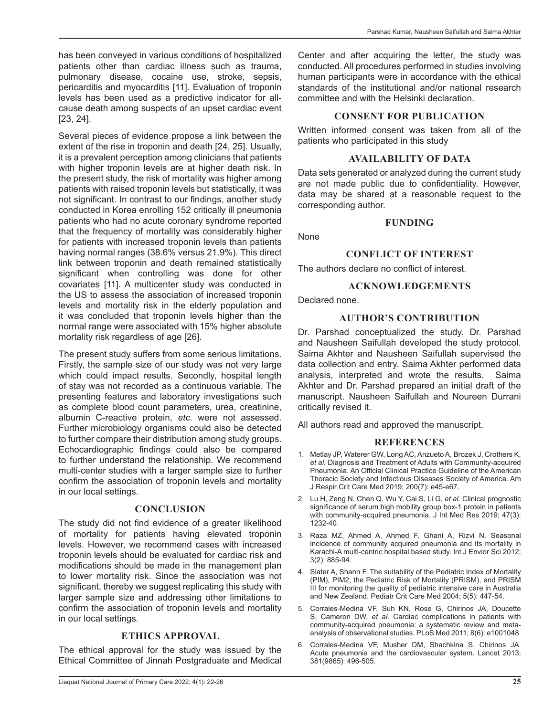has been conveyed in various conditions of hospitalized patients other than cardiac illness such as trauma, pulmonary disease, cocaine use, stroke, sepsis, pericarditis and myocarditis [11]. Evaluation of troponin levels has been used as a predictive indicator for allcause death among suspects of an upset cardiac event [23, 24].

Several pieces of evidence propose a link between the extent of the rise in troponin and death [24, 25]. Usually, it is a prevalent perception among clinicians that patients with higher troponin levels are at higher death risk. In the present study, the risk of mortality was higher among patients with raised troponin levels but statistically, it was not significant. In contrast to our findings, another study conducted in Korea enrolling 152 critically ill pneumonia patients who had no acute coronary syndrome reported that the frequency of mortality was considerably higher for patients with increased troponin levels than patients having normal ranges (38.6% versus 21.9%). This direct link between troponin and death remained statistically significant when controlling was done for other covariates [11]. A multicenter study was conducted in the US to assess the association of increased troponin levels and mortality risk in the elderly population and it was concluded that troponin levels higher than the normal range were associated with 15% higher absolute mortality risk regardless of age [26].

The present study suffers from some serious limitations. Firstly, the sample size of our study was not very large which could impact results. Secondly, hospital length of stay was not recorded as a continuous variable. The presenting features and laboratory investigations such as complete blood count parameters, urea, creatinine, albumin C-reactive protein, *etc.* were not assessed. Further microbiology organisms could also be detected to further compare their distribution among study groups. Echocardiographic findings could also be compared to further understand the relationship. We recommend multi-center studies with a larger sample size to further confirm the association of troponin levels and mortality in our local settings.

## **CONCLUSION**

The study did not find evidence of a greater likelihood of mortality for patients having elevated troponin levels. However, we recommend cases with increased troponin levels should be evaluated for cardiac risk and modifications should be made in the management plan to lower mortality risk. Since the association was not significant, thereby we suggest replicating this study with larger sample size and addressing other limitations to confirm the association of troponin levels and mortality in our local settings.

## **ETHICS APPROVAL**

The ethical approval for the study was issued by the Ethical Committee of Jinnah Postgraduate and Medical Center and after acquiring the letter, the study was conducted. All procedures performed in studies involving human participants were in accordance with the ethical standards of the institutional and/or national research committee and with the Helsinki declaration.

#### **CONSENT FOR PUBLICATION**

Written informed consent was taken from all of the patients who participated in this study

#### **AVAILABILITY OF DATA**

Data sets generated or analyzed during the current study are not made public due to confidentiality. However, data may be shared at a reasonable request to the corresponding author.

#### **FUNDING**

None

#### **CONFLICT OF INTEREST**

The authors declare no conflict of interest.

#### **ACKNOWLEDGEMENTS**

Declared none.

#### **AUTHOR'S CONTRIBUTION**

Dr. Parshad conceptualized the study. Dr. Parshad and Nausheen Saifullah developed the study protocol. Saima Akhter and Nausheen Saifullah supervised the data collection and entry. Saima Akhter performed data analysis, interpreted and wrote the results. Saima Akhter and Dr. Parshad prepared an initial draft of the manuscript. Nausheen Saifullah and Noureen Durrani critically revised it.

All authors read and approved the manuscript.

#### **REFERENCES**

- 1. Metlay JP, Waterer GW, Long AC, Anzueto A, Brozek J, Crothers K, *et al.* Diagnosis and Treatment of Adults with Community-acquired Pneumonia. An Official Clinical Practice Guideline of the American Thoracic Society and Infectious Diseases Society of America. Am J Respir Crit Care Med 2019; 200(7): e45-e67.
- 2. Lu H, Zeng N, Chen Q, Wu Y, Cai S, Li G, *et al.* Clinical prognostic significance of serum high mobility group box-1 protein in patients with community-acquired pneumonia. J Int Med Res 2019; 47(3): 1232-40.
- 3. Raza MZ, Ahmed A, Ahmed F, Ghani A, Rizvi N. Seasonal incidence of community acquired pneumonia and its mortality in Karachi-A multi-centric hospital based study. Int J Envior Sci 2012; 3(2): 885-94.
- 4. Slater A, Shann F. The suitability of the Pediatric Index of Mortality (PIM), PIM2, the Pediatric Risk of Mortality (PRISM), and PRISM III for monitoring the quality of pediatric intensive care in Australia and New Zealand. Pediatr Crit Care Med 2004; 5(5): 447-54.
- 5. Corrales-Medina VF, Suh KN, Rose G, Chirinos JA, Doucette S, Cameron DW, *et al.* Cardiac complications in patients with community-acquired pneumonia: a systematic review and metaanalysis of observational studies. PLoS Med 2011; 8(6): e1001048.
- 6. Corrales-Medina VF, Musher DM, Shachkina S, Chirinos JA. Acute pneumonia and the cardiovascular system. Lancet 2013; 381(9865): 496-505.